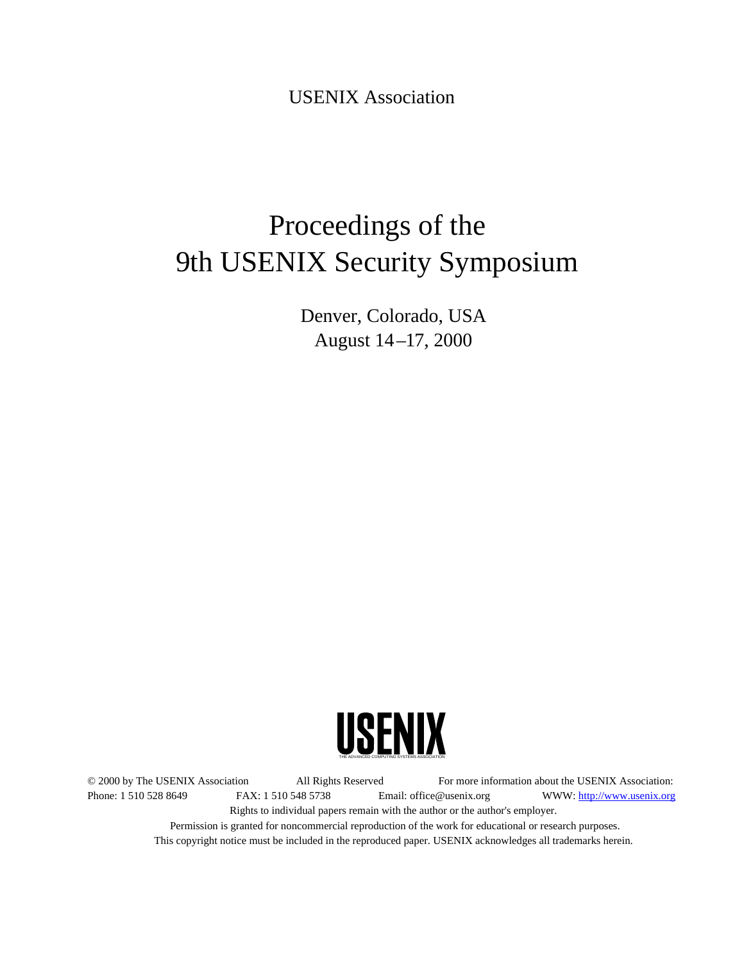USENIX Association

# Proceedings of the 9th USENIX Security Symposium

Denver, Colorado, USA August 14 –17, 2000



© 2000 by The USENIX Association All Rights Reserved For more information about the USENIX Association: Phone: 1 510 528 8649 FAX: 1 510 548 5738 Email: office@usenix.org WWW: http://www.usenix.org Rights to individual papers remain with the author or the author's employer. Permission is granted for noncommercial reproduction of the work for educational or research purposes. This copyright notice must be included in the reproduced paper. USENIX acknowledges all trademarks herein.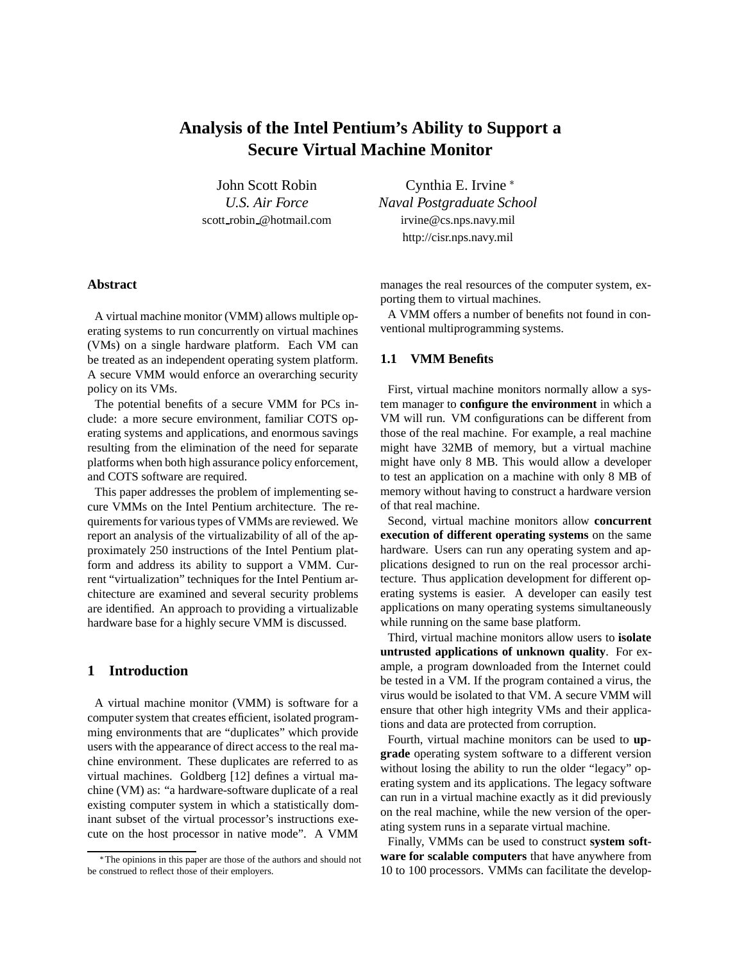# **Analysis of the Intel Pentium's Ability to Support a Secure Virtual Machine Monitor**

John Scott Robin *U.S. Air Force* scott robin @hotmail.com

Cynthia E. Irvine *Naval Postgraduate School* irvine@cs.nps.navy.mil http://cisr.nps.navy.mil

# **Abstract**

A virtual machine monitor (VMM) allows multiple operating systems to run concurrently on virtual machines (VMs) on a single hardware platform. Each VM can be treated as an independent operating system platform. A secure VMM would enforce an overarching security policy on its VMs.

The potential benefits of a secure VMM for PCs include: a more secure environment, familiar COTS operating systems and applications, and enormous savings resulting from the elimination of the need for separate platforms when both high assurance policy enforcement, and COTS software are required.

This paper addresses the problem of implementing secure VMMs on the Intel Pentium architecture. The requirements for various types of VMMs are reviewed. We report an analysis of the virtualizability of all of the approximately 250 instructions of the Intel Pentium platform and address its ability to support a VMM. Current "virtualization" techniques for the Intel Pentium architecture are examined and several security problems are identified. An approach to providing a virtualizable hardware base for a highly secure VMM is discussed.

# **1 Introduction**

A virtual machine monitor (VMM) is software for a computer system that creates efficient, isolated programming environments that are "duplicates" which provide users with the appearance of direct access to the real machine environment. These duplicates are referred to as virtual machines. Goldberg [12] defines a virtual machine (VM) as: "a hardware-software duplicate of a real existing computer system in which a statistically dominant subset of the virtual processor's instructions execute on the host processor in native mode". A VMM

manages the real resources of the computer system, exporting them to virtual machines.

A VMM offers a number of benefits not found in conventional multiprogramming systems.

#### **1.1 VMM Benefits**

First, virtual machine monitors normally allow a system manager to **configure the environment** in which a VM will run. VM configurations can be different from those of the real machine. For example, a real machine might have 32MB of memory, but a virtual machine might have only 8 MB. This would allow a developer to test an application on a machine with only 8 MB of memory without having to construct a hardware version of that real machine.

Second, virtual machine monitors allow **concurrent execution of different operating systems** on the same hardware. Users can run any operating system and applications designed to run on the real processor architecture. Thus application development for different operating systems is easier. A developer can easily test applications on many operating systems simultaneously while running on the same base platform.

Third, virtual machine monitors allow users to **isolate untrusted applications of unknown quality**. For example, a program downloaded from the Internet could be tested in a VM. If the program contained a virus, the virus would be isolated to that VM. A secure VMM will ensure that other high integrity VMs and their applications and data are protected from corruption.

Fourth, virtual machine monitors can be used to **upgrade** operating system software to a different version without losing the ability to run the older "legacy" operating system and its applications. The legacy software can run in a virtual machine exactly as it did previously on the real machine, while the new version of the operating system runs in a separate virtual machine.

Finally, VMMs can be used to construct **system software for scalable computers** that have anywhere from 10 to 100 processors. VMMs can facilitate the develop-

The opinions in this paper are those of the authors and should not be construed to reflect those of their employers.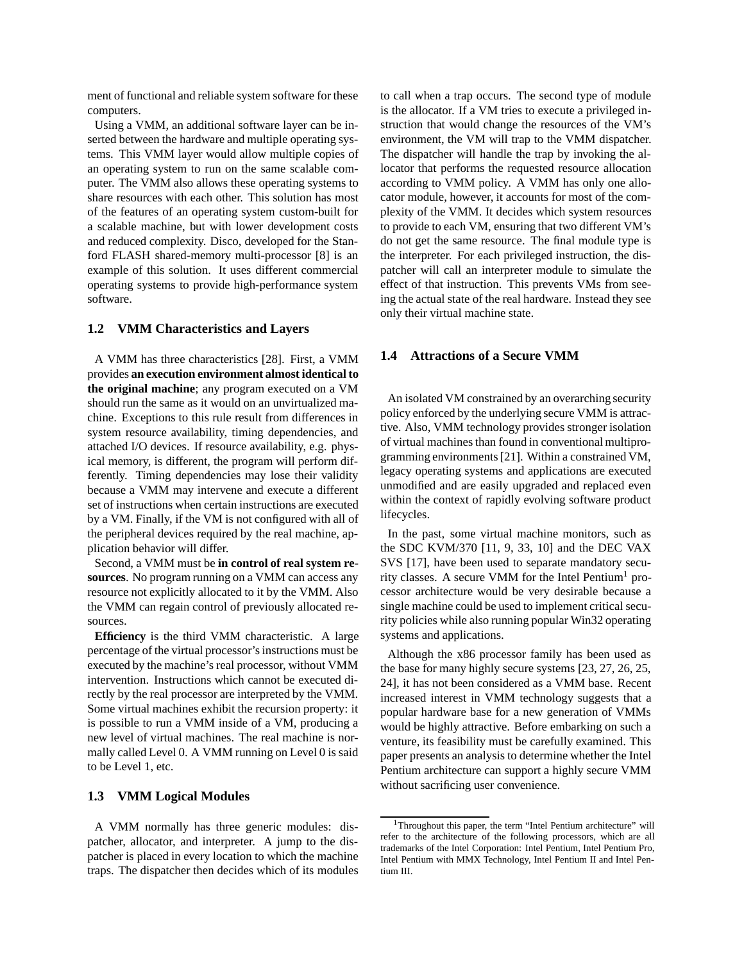ment of functional and reliable system software for these computers.

Using a VMM, an additional software layer can be inserted between the hardware and multiple operating systems. This VMM layer would allow multiple copies of an operating system to run on the same scalable computer. The VMM also allows these operating systems to share resources with each other. This solution has most of the features of an operating system custom-built for a scalable machine, but with lower development costs and reduced complexity. Disco, developed for the Stanford FLASH shared-memory multi-processor [8] is an example of this solution. It uses different commercial operating systems to provide high-performance system software.

#### **1.2 VMM Characteristics and Layers**

A VMM has three characteristics [28]. First, a VMM provides **an execution environment almost identical to the original machine**; any program executed on a VM should run the same as it would on an unvirtualized machine. Exceptions to this rule result from differences in system resource availability, timing dependencies, and attached I/O devices. If resource availability, e.g. physical memory, is different, the program will perform differently. Timing dependencies may lose their validity because a VMM may intervene and execute a different set of instructions when certain instructions are executed by a VM. Finally, if the VM is not configured with all of the peripheral devices required by the real machine, application behavior will differ.

Second, a VMM must be **in control of real system resources**. No program running on a VMM can access any resource not explicitly allocated to it by the VMM. Also the VMM can regain control of previously allocated resources.

**Efficiency** is the third VMM characteristic. A large percentage of the virtual processor's instructions must be executed by the machine's real processor, without VMM intervention. Instructions which cannot be executed directly by the real processor are interpreted by the VMM. Some virtual machines exhibit the recursion property: it is possible to run a VMM inside of a VM, producing a new level of virtual machines. The real machine is normally called Level 0. A VMM running on Level 0 is said to be Level 1, etc.

#### **1.3 VMM Logical Modules**

A VMM normally has three generic modules: dispatcher, allocator, and interpreter. A jump to the dispatcher is placed in every location to which the machine traps. The dispatcher then decides which of its modules to call when a trap occurs. The second type of module is the allocator. If a VM tries to execute a privileged instruction that would change the resources of the VM's environment, the VM will trap to the VMM dispatcher. The dispatcher will handle the trap by invoking the allocator that performs the requested resource allocation according to VMM policy. A VMM has only one allocator module, however, it accounts for most of the complexity of the VMM. It decides which system resources to provide to each VM, ensuring that two different VM's do not get the same resource. The final module type is the interpreter. For each privileged instruction, the dispatcher will call an interpreter module to simulate the effect of that instruction. This prevents VMs from seeing the actual state of the real hardware. Instead they see only their virtual machine state.

#### **1.4 Attractions of a Secure VMM**

An isolated VM constrained by an overarching security policy enforced by the underlying secure VMM is attractive. Also, VMM technology provides stronger isolation of virtual machines than found in conventional multiprogramming environments [21]. Within a constrained VM, legacy operating systems and applications are executed unmodified and are easily upgraded and replaced even within the context of rapidly evolving software product lifecycles.

In the past, some virtual machine monitors, such as the SDC KVM/370 [11, 9, 33, 10] and the DEC VAX SVS [17], have been used to separate mandatory security classes. A secure VMM for the Intel Pentium<sup>1</sup> processor architecture would be very desirable because a single machine could be used to implement critical security policies while also running popular Win32 operating systems and applications.

Although the x86 processor family has been used as the base for many highly secure systems [23, 27, 26, 25, 24], it has not been considered as a VMM base. Recent increased interest in VMM technology suggests that a popular hardware base for a new generation of VMMs would be highly attractive. Before embarking on such a venture, its feasibility must be carefully examined. This paper presents an analysis to determine whether the Intel Pentium architecture can support a highly secure VMM without sacrificing user convenience.

<sup>&</sup>lt;sup>1</sup>Throughout this paper, the term "Intel Pentium architecture" will refer to the architecture of the following processors, which are all trademarks of the Intel Corporation: Intel Pentium, Intel Pentium Pro, Intel Pentium with MMX Technology, Intel Pentium II and Intel Pentium III.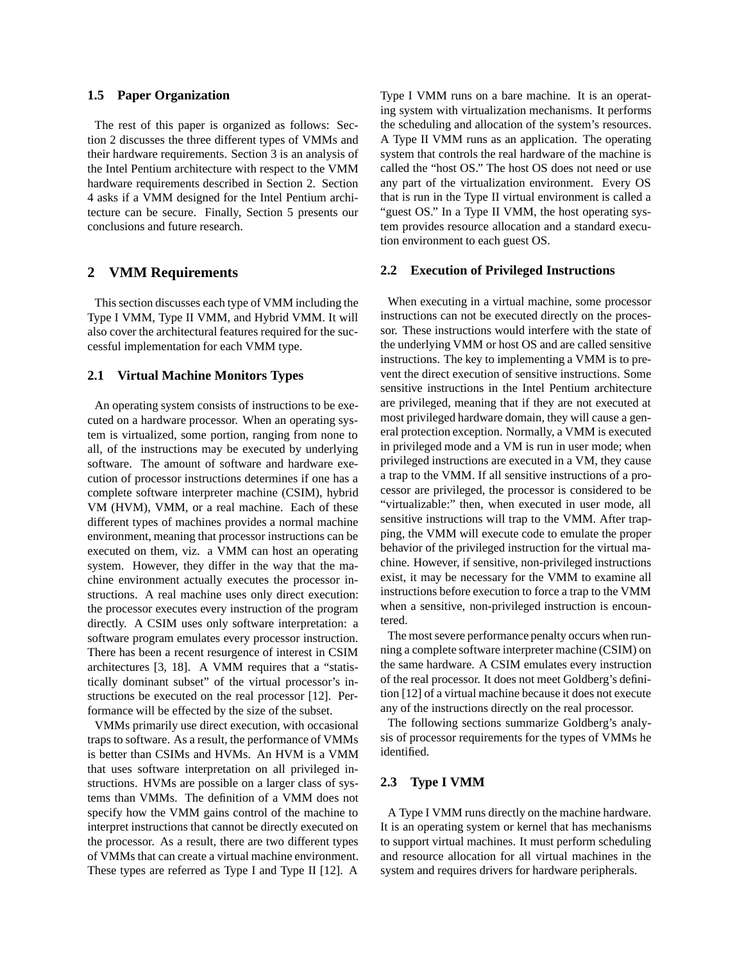#### **1.5 Paper Organization**

The rest of this paper is organized as follows: Section 2 discusses the three different types of VMMs and their hardware requirements. Section 3 is an analysis of the Intel Pentium architecture with respect to the VMM hardware requirements described in Section 2. Section 4 asks if a VMM designed for the Intel Pentium architecture can be secure. Finally, Section 5 presents our conclusions and future research.

# **2 VMM Requirements**

This section discusses each type of VMM including the Type I VMM, Type II VMM, and Hybrid VMM. It will also cover the architectural features required for the successful implementation for each VMM type.

#### **2.1 Virtual Machine Monitors Types**

An operating system consists of instructions to be executed on a hardware processor. When an operating system is virtualized, some portion, ranging from none to all, of the instructions may be executed by underlying software. The amount of software and hardware execution of processor instructions determines if one has a complete software interpreter machine (CSIM), hybrid VM (HVM), VMM, or a real machine. Each of these different types of machines provides a normal machine environment, meaning that processor instructions can be executed on them, viz. a VMM can host an operating system. However, they differ in the way that the machine environment actually executes the processor instructions. A real machine uses only direct execution: the processor executes every instruction of the program directly. A CSIM uses only software interpretation: a software program emulates every processor instruction. There has been a recent resurgence of interest in CSIM architectures [3, 18]. A VMM requires that a "statistically dominant subset" of the virtual processor's instructions be executed on the real processor [12]. Performance will be effected by the size of the subset.

VMMs primarily use direct execution, with occasional traps to software. As a result, the performance of VMMs is better than CSIMs and HVMs. An HVM is a VMM that uses software interpretation on all privileged instructions. HVMs are possible on a larger class of systems than VMMs. The definition of a VMM does not specify how the VMM gains control of the machine to interpret instructions that cannot be directly executed on the processor. As a result, there are two different types of VMMs that can create a virtual machine environment. These types are referred as Type I and Type II [12]. A

Type I VMM runs on a bare machine. It is an operating system with virtualization mechanisms. It performs the scheduling and allocation of the system's resources. A Type II VMM runs as an application. The operating system that controls the real hardware of the machine is called the "host OS." The host OS does not need or use any part of the virtualization environment. Every OS that is run in the Type II virtual environment is called a "guest OS." In a Type II VMM, the host operating system provides resource allocation and a standard execution environment to each guest OS.

#### **2.2 Execution of Privileged Instructions**

When executing in a virtual machine, some processor instructions can not be executed directly on the processor. These instructions would interfere with the state of the underlying VMM or host OS and are called sensitive instructions. The key to implementing a VMM is to prevent the direct execution of sensitive instructions. Some sensitive instructions in the Intel Pentium architecture are privileged, meaning that if they are not executed at most privileged hardware domain, they will cause a general protection exception. Normally, a VMM is executed in privileged mode and a VM is run in user mode; when privileged instructions are executed in a VM, they cause a trap to the VMM. If all sensitive instructions of a processor are privileged, the processor is considered to be "virtualizable:" then, when executed in user mode, all sensitive instructions will trap to the VMM. After trapping, the VMM will execute code to emulate the proper behavior of the privileged instruction for the virtual machine. However, if sensitive, non-privileged instructions exist, it may be necessary for the VMM to examine all instructions before execution to force a trap to the VMM when a sensitive, non-privileged instruction is encountered.

The most severe performance penalty occurs when running a complete software interpreter machine (CSIM) on the same hardware. A CSIM emulates every instruction of the real processor. It does not meet Goldberg's definition [12] of a virtual machine because it does not execute any of the instructions directly on the real processor.

The following sections summarize Goldberg's analysis of processor requirements for the types of VMMs he identified.

# **2.3 Type I VMM**

A Type I VMM runs directly on the machine hardware. It is an operating system or kernel that has mechanisms to support virtual machines. It must perform scheduling and resource allocation for all virtual machines in the system and requires drivers for hardware peripherals.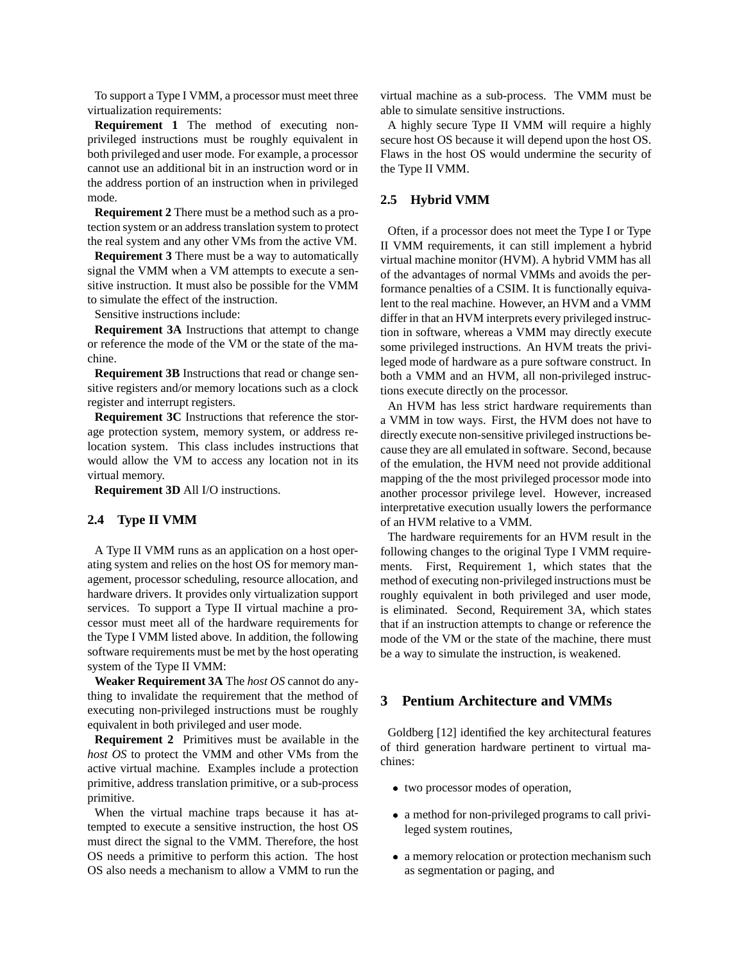To support a Type I VMM, a processor must meet three virtualization requirements:

**Requirement 1** The method of executing nonprivileged instructions must be roughly equivalent in both privileged and user mode. For example, a processor cannot use an additional bit in an instruction word or in the address portion of an instruction when in privileged mode.

**Requirement 2** There must be a method such as a protection system or an address translation system to protect the real system and any other VMs from the active VM.

**Requirement 3** There must be a way to automatically signal the VMM when a VM attempts to execute a sensitive instruction. It must also be possible for the VMM to simulate the effect of the instruction.

Sensitive instructions include:

**Requirement 3A** Instructions that attempt to change or reference the mode of the VM or the state of the machine.

**Requirement 3B** Instructions that read or change sensitive registers and/or memory locations such as a clock register and interrupt registers.

**Requirement 3C** Instructions that reference the storage protection system, memory system, or address relocation system. This class includes instructions that would allow the VM to access any location not in its virtual memory.

**Requirement 3D** All I/O instructions.

### **2.4 Type II VMM**

A Type II VMM runs as an application on a host operating system and relies on the host OS for memory management, processor scheduling, resource allocation, and hardware drivers. It provides only virtualization support services. To support a Type II virtual machine a processor must meet all of the hardware requirements for the Type I VMM listed above. In addition, the following software requirements must be met by the host operating system of the Type II VMM:

**Weaker Requirement 3A** The *host OS* cannot do anything to invalidate the requirement that the method of executing non-privileged instructions must be roughly equivalent in both privileged and user mode.

**Requirement 2** Primitives must be available in the *host OS* to protect the VMM and other VMs from the active virtual machine. Examples include a protection primitive, address translation primitive, or a sub-process primitive.

When the virtual machine traps because it has attempted to execute a sensitive instruction, the host OS must direct the signal to the VMM. Therefore, the host OS needs a primitive to perform this action. The host OS also needs a mechanism to allow a VMM to run the virtual machine as a sub-process. The VMM must be able to simulate sensitive instructions.

A highly secure Type II VMM will require a highly secure host OS because it will depend upon the host OS. Flaws in the host OS would undermine the security of the Type II VMM.

# **2.5 Hybrid VMM**

Often, if a processor does not meet the Type I or Type II VMM requirements, it can still implement a hybrid virtual machine monitor (HVM). A hybrid VMM has all of the advantages of normal VMMs and avoids the performance penalties of a CSIM. It is functionally equivalent to the real machine. However, an HVM and a VMM differ in that an HVM interprets every privileged instruction in software, whereas a VMM may directly execute some privileged instructions. An HVM treats the privileged mode of hardware as a pure software construct. In both a VMM and an HVM, all non-privileged instructions execute directly on the processor.

An HVM has less strict hardware requirements than a VMM in tow ways. First, the HVM does not have to directly execute non-sensitive privileged instructions because they are all emulated in software. Second, because of the emulation, the HVM need not provide additional mapping of the the most privileged processor mode into another processor privilege level. However, increased interpretative execution usually lowers the performance of an HVM relative to a VMM.

The hardware requirements for an HVM result in the following changes to the original Type I VMM requirements. First, Requirement 1, which states that the method of executing non-privileged instructions must be roughly equivalent in both privileged and user mode, is eliminated. Second, Requirement 3A, which states that if an instruction attempts to change or reference the mode of the VM or the state of the machine, there must be a way to simulate the instruction, is weakened.

# **3 Pentium Architecture and VMMs**

Goldberg [12] identified the key architectural features of third generation hardware pertinent to virtual machines:

- two processor modes of operation,
- a method for non-privileged programs to call privileged system routines,
- a memory relocation or protection mechanism such as segmentation or paging, and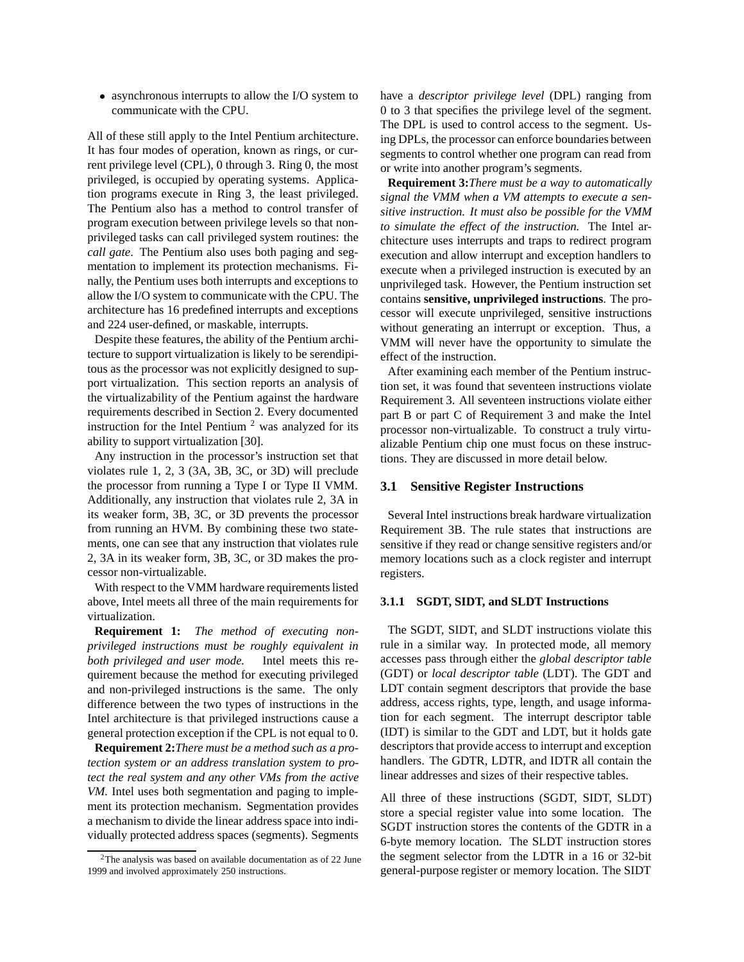• asynchronous interrupts to allow the I/O system to communicate with the CPU.

All of these still apply to the Intel Pentium architecture. It has four modes of operation, known as rings, or current privilege level (CPL), 0 through 3. Ring 0, the most privileged, is occupied by operating systems. Application programs execute in Ring 3, the least privileged. The Pentium also has a method to control transfer of program execution between privilege levels so that nonprivileged tasks can call privileged system routines: the *call gate*. The Pentium also uses both paging and segmentation to implement its protection mechanisms. Finally, the Pentium uses both interrupts and exceptions to allow the I/O system to communicate with the CPU. The architecture has 16 predefined interrupts and exceptions and 224 user-defined, or maskable, interrupts.

Despite these features, the ability of the Pentium architecture to support virtualization is likely to be serendipitous as the processor was not explicitly designed to support virtualization. This section reports an analysis of the virtualizability of the Pentium against the hardware requirements described in Section 2. Every documented instruction for the Intel Pentium  $2$  was analyzed for its ability to support virtualization [30].

Any instruction in the processor's instruction set that violates rule 1, 2, 3 (3A, 3B, 3C, or 3D) will preclude the processor from running a Type I or Type II VMM. Additionally, any instruction that violates rule 2, 3A in its weaker form, 3B, 3C, or 3D prevents the processor from running an HVM. By combining these two statements, one can see that any instruction that violates rule 2, 3A in its weaker form, 3B, 3C, or 3D makes the processor non-virtualizable.

With respect to the VMM hardware requirements listed above, Intel meets all three of the main requirements for virtualization.

**Requirement 1:** *The method of executing nonprivileged instructions must be roughly equivalent in both privileged and user mode.* Intel meets this requirement because the method for executing privileged and non-privileged instructions is the same. The only difference between the two types of instructions in the Intel architecture is that privileged instructions cause a general protection exception if the CPL is not equal to 0.

**Requirement 2:***There must be a method such as a protection system or an address translation system to protect the real system and any other VMs from the active VM.* Intel uses both segmentation and paging to implement its protection mechanism. Segmentation provides a mechanism to divide the linear address space into individually protected address spaces (segments). Segments have a *descriptor privilege level* (DPL) ranging from 0 to 3 that specifies the privilege level of the segment. The DPL is used to control access to the segment. Using DPLs, the processor can enforce boundaries between segments to control whether one program can read from or write into another program's segments.

**Requirement 3:***There must be a way to automatically signal the VMM when a VM attempts to execute a sensitive instruction. It must also be possible for the VMM to simulate the effect of the instruction.* The Intel architecture uses interrupts and traps to redirect program execution and allow interrupt and exception handlers to execute when a privileged instruction is executed by an unprivileged task. However, the Pentium instruction set contains **sensitive, unprivileged instructions**. The processor will execute unprivileged, sensitive instructions without generating an interrupt or exception. Thus, a VMM will never have the opportunity to simulate the effect of the instruction.

After examining each member of the Pentium instruction set, it was found that seventeen instructions violate Requirement 3. All seventeen instructions violate either part B or part C of Requirement 3 and make the Intel processor non-virtualizable. To construct a truly virtualizable Pentium chip one must focus on these instructions. They are discussed in more detail below.

#### **3.1 Sensitive Register Instructions**

Several Intel instructions break hardware virtualization Requirement 3B. The rule states that instructions are sensitive if they read or change sensitive registers and/or memory locations such as a clock register and interrupt registers.

#### **3.1.1 SGDT, SIDT, and SLDT Instructions**

The SGDT, SIDT, and SLDT instructions violate this rule in a similar way. In protected mode, all memory accesses pass through either the *global descriptor table* (GDT) or *local descriptor table* (LDT). The GDT and LDT contain segment descriptors that provide the base address, access rights, type, length, and usage information for each segment. The interrupt descriptor table (IDT) is similar to the GDT and LDT, but it holds gate descriptors that provide access to interrupt and exception handlers. The GDTR, LDTR, and IDTR all contain the linear addresses and sizes of their respective tables.

All three of these instructions (SGDT, SIDT, SLDT) store a special register value into some location. The SGDT instruction stores the contents of the GDTR in a 6-byte memory location. The SLDT instruction stores the segment selector from the LDTR in a 16 or 32-bit general-purpose register or memory location. The SIDT

<sup>2</sup>The analysis was based on available documentation as of 22 June 1999 and involved approximately 250 instructions.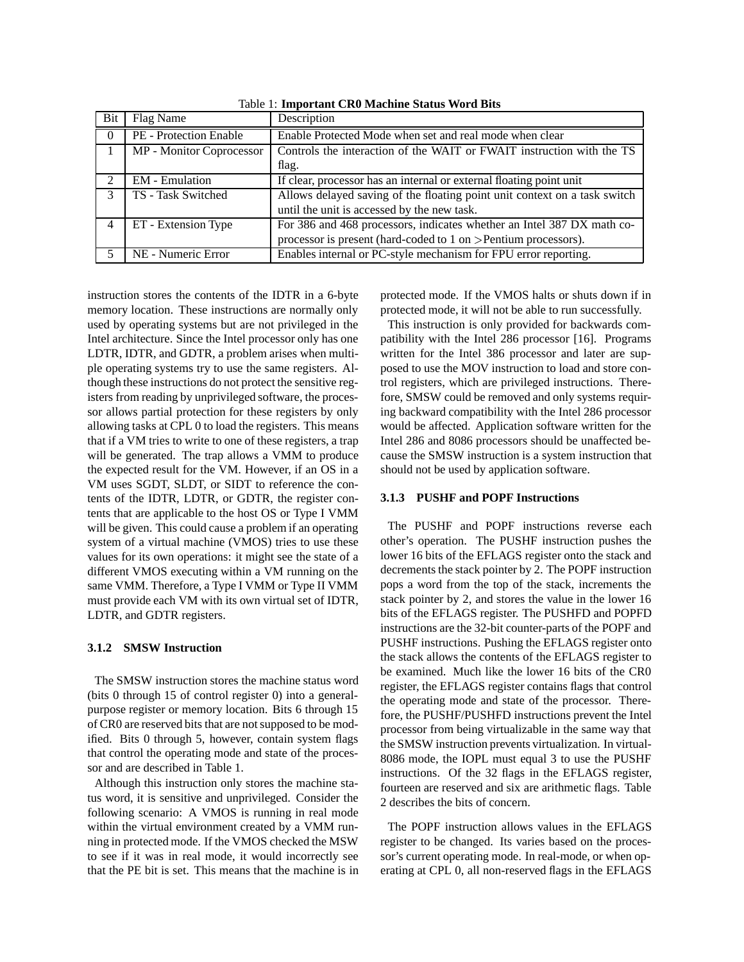| Bit           | Flag Name                     | Description                                                               |  |
|---------------|-------------------------------|---------------------------------------------------------------------------|--|
| - 0           | <b>PE</b> - Protection Enable | Enable Protected Mode when set and real mode when clear                   |  |
|               | MP - Monitor Coprocessor      | Controls the interaction of the WAIT or FWAIT instruction with the TS     |  |
|               |                               | flag.                                                                     |  |
| $\mathcal{D}$ | <b>EM</b> - Emulation         | If clear, processor has an internal or external floating point unit       |  |
|               | TS - Task Switched            | Allows delayed saving of the floating point unit context on a task switch |  |
|               |                               | until the unit is accessed by the new task.                               |  |
| 4             | ET - Extension Type           | For 386 and 468 processors, indicates whether an Intel 387 DX math co-    |  |
|               |                               | processor is present (hard-coded to 1 on >Pentium processors).            |  |
|               | NE - Numeric Error            | Enables internal or PC-style mechanism for FPU error reporting.           |  |

Table 1: **Important CR0 Machine Status Word Bits**

instruction stores the contents of the IDTR in a 6-byte memory location. These instructions are normally only used by operating systems but are not privileged in the Intel architecture. Since the Intel processor only has one LDTR, IDTR, and GDTR, a problem arises when multiple operating systems try to use the same registers. Although these instructions do not protect the sensitive registers from reading by unprivileged software, the processor allows partial protection for these registers by only allowing tasks at CPL 0 to load the registers. This means that if a VM tries to write to one of these registers, a trap will be generated. The trap allows a VMM to produce the expected result for the VM. However, if an OS in a VM uses SGDT, SLDT, or SIDT to reference the contents of the IDTR, LDTR, or GDTR, the register contents that are applicable to the host OS or Type I VMM will be given. This could cause a problem if an operating system of a virtual machine (VMOS) tries to use these values for its own operations: it might see the state of a different VMOS executing within a VM running on the same VMM. Therefore, a Type I VMM or Type II VMM must provide each VM with its own virtual set of IDTR, LDTR, and GDTR registers.

#### **3.1.2 SMSW Instruction**

The SMSW instruction stores the machine status word (bits 0 through 15 of control register 0) into a generalpurpose register or memory location. Bits 6 through 15 of CR0 are reserved bits that are not supposed to be modified. Bits 0 through 5, however, contain system flags that control the operating mode and state of the processor and are described in Table 1.

Although this instruction only stores the machine status word, it is sensitive and unprivileged. Consider the following scenario: A VMOS is running in real mode within the virtual environment created by a VMM running in protected mode. If the VMOS checked the MSW to see if it was in real mode, it would incorrectly see that the PE bit is set. This means that the machine is in protected mode. If the VMOS halts or shuts down if in protected mode, it will not be able to run successfully.

This instruction is only provided for backwards compatibility with the Intel 286 processor [16]. Programs written for the Intel 386 processor and later are supposed to use the MOV instruction to load and store control registers, which are privileged instructions. Therefore, SMSW could be removed and only systems requiring backward compatibility with the Intel 286 processor would be affected. Application software written for the Intel 286 and 8086 processors should be unaffected because the SMSW instruction is a system instruction that should not be used by application software.

#### **3.1.3 PUSHF and POPF Instructions**

The PUSHF and POPF instructions reverse each other's operation. The PUSHF instruction pushes the lower 16 bits of the EFLAGS register onto the stack and decrements the stack pointer by 2. The POPF instruction pops a word from the top of the stack, increments the stack pointer by 2, and stores the value in the lower 16 bits of the EFLAGS register. The PUSHFD and POPFD instructions are the 32-bit counter-parts of the POPF and PUSHF instructions. Pushing the EFLAGS register onto the stack allows the contents of the EFLAGS register to be examined. Much like the lower 16 bits of the CR0 register, the EFLAGS register contains flags that control the operating mode and state of the processor. Therefore, the PUSHF/PUSHFD instructions prevent the Intel processor from being virtualizable in the same way that the SMSW instruction prevents virtualization. In virtual-8086 mode, the IOPL must equal 3 to use the PUSHF instructions. Of the 32 flags in the EFLAGS register, fourteen are reserved and six are arithmetic flags. Table 2 describes the bits of concern.

The POPF instruction allows values in the EFLAGS register to be changed. Its varies based on the processor's current operating mode. In real-mode, or when operating at CPL 0, all non-reserved flags in the EFLAGS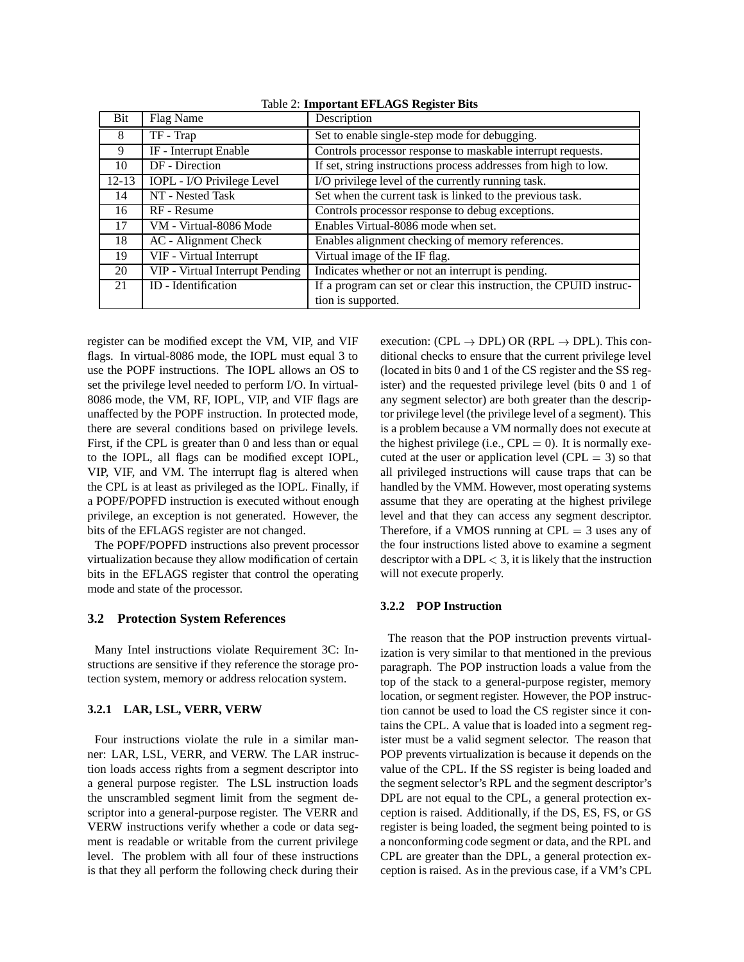| Bit       | Flag Name                       | Description                                                        |
|-----------|---------------------------------|--------------------------------------------------------------------|
| 8         | TF - Trap                       | Set to enable single-step mode for debugging.                      |
| 9         | IF - Interrupt Enable           | Controls processor response to maskable interrupt requests.        |
| 10        | DF - Direction                  | If set, string instructions process addresses from high to low.    |
| $12 - 13$ | IOPL - I/O Privilege Level      | I/O privilege level of the currently running task.                 |
| 14        | NT - Nested Task                | Set when the current task is linked to the previous task.          |
| 16        | RF - Resume                     | Controls processor response to debug exceptions.                   |
| 17        | VM - Virtual-8086 Mode          | Enables Virtual-8086 mode when set.                                |
| 18        | AC - Alignment Check            | Enables alignment checking of memory references.                   |
| 19        | VIF - Virtual Interrupt         | Virtual image of the IF flag.                                      |
| 20        | VIP - Virtual Interrupt Pending | Indicates whether or not an interrupt is pending.                  |
| 21        | ID - Identification             | If a program can set or clear this instruction, the CPUID instruc- |
|           |                                 | tion is supported.                                                 |

Table 2: **Important EFLAGS Register Bits**

register can be modified except the VM, VIP, and VIF flags. In virtual-8086 mode, the IOPL must equal 3 to use the POPF instructions. The IOPL allows an OS to set the privilege level needed to perform I/O. In virtual-8086 mode, the VM, RF, IOPL, VIP, and VIF flags are unaffected by the POPF instruction. In protected mode, there are several conditions based on privilege levels. First, if the CPL is greater than 0 and less than or equal to the IOPL, all flags can be modified except IOPL, VIP, VIF, and VM. The interrupt flag is altered when the CPL is at least as privileged as the IOPL. Finally, if a POPF/POPFD instruction is executed without enough privilege, an exception is not generated. However, the bits of the EFLAGS register are not changed.

The POPF/POPFD instructions also prevent processor virtualization because they allow modification of certain bits in the EFLAGS register that control the operating mode and state of the processor.

#### **3.2 Protection System References**

Many Intel instructions violate Requirement 3C: Instructions are sensitive if they reference the storage protection system, memory or address relocation system.

#### **3.2.1 LAR, LSL, VERR, VERW**

Four instructions violate the rule in a similar manner: LAR, LSL, VERR, and VERW. The LAR instruction loads access rights from a segment descriptor into a general purpose register. The LSL instruction loads the unscrambled segment limit from the segment descriptor into a general-purpose register. The VERR and VERW instructions verify whether a code or data segment is readable or writable from the current privilege level. The problem with all four of these instructions is that they all perform the following check during their execution: (CPL  $\rightarrow$  DPL) OR (RPL  $\rightarrow$  DPL). This conditional checks to ensure that the current privilege level (located in bits 0 and 1 of the CS register and the SS register) and the requested privilege level (bits 0 and 1 of any segment selector) are both greater than the descriptor privilege level (the privilege level of a segment). This is a problem because a VM normally does not execute at the highest privilege (i.e.,  $CPL = 0$ ). It is normally executed at the user or application level (CPL  $=$  3) so that all privileged instructions will cause traps that can be handled by the VMM. However, most operating systems assume that they are operating at the highest privilege level and that they can access any segment descriptor. Therefore, if a VMOS running at  $CPL = 3$  uses any of the four instructions listed above to examine a segment descriptor with a DPL  $<$  3, it is likely that the instruction will not execute properly.

#### **3.2.2 POP Instruction**

The reason that the POP instruction prevents virtualization is very similar to that mentioned in the previous paragraph. The POP instruction loads a value from the top of the stack to a general-purpose register, memory location, or segment register. However, the POP instruction cannot be used to load the CS register since it contains the CPL. A value that is loaded into a segment register must be a valid segment selector. The reason that POP prevents virtualization is because it depends on the value of the CPL. If the SS register is being loaded and the segment selector's RPL and the segment descriptor's DPL are not equal to the CPL, a general protection exception is raised. Additionally, if the DS, ES, FS, or GS register is being loaded, the segment being pointed to is a nonconforming code segment or data, and the RPL and CPL are greater than the DPL, a general protection exception is raised. As in the previous case, if a VM's CPL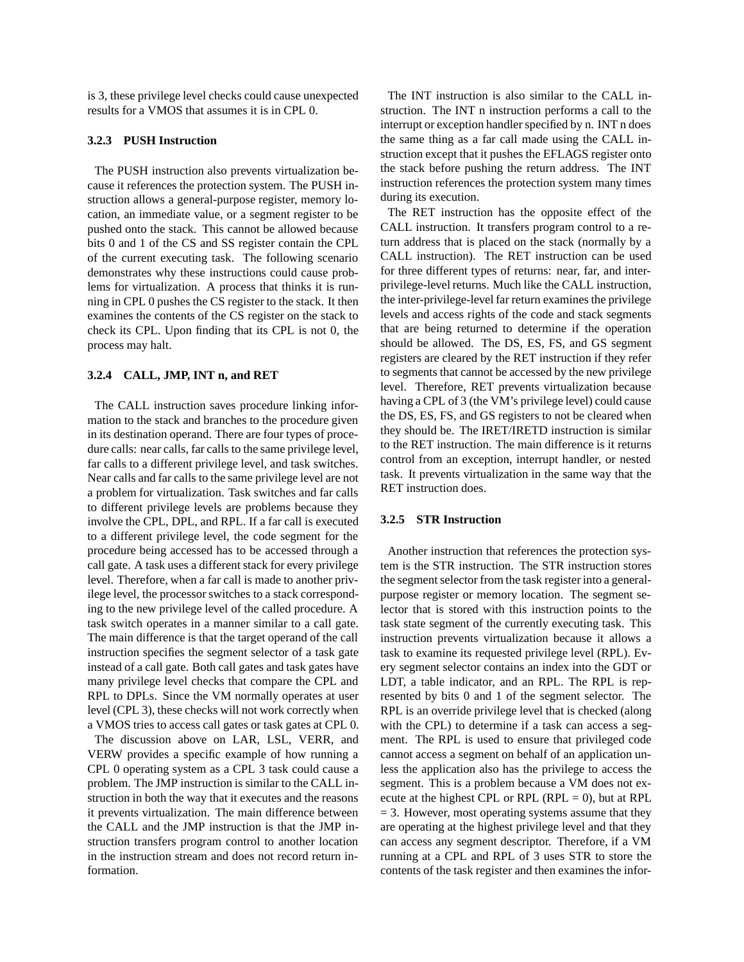is 3, these privilege level checks could cause unexpected results for a VMOS that assumes it is in CPL 0.

#### **3.2.3 PUSH Instruction**

The PUSH instruction also prevents virtualization because it references the protection system. The PUSH instruction allows a general-purpose register, memory location, an immediate value, or a segment register to be pushed onto the stack. This cannot be allowed because bits 0 and 1 of the CS and SS register contain the CPL of the current executing task. The following scenario demonstrates why these instructions could cause problems for virtualization. A process that thinks it is running in CPL 0 pushes the CS register to the stack. It then examines the contents of the CS register on the stack to check its CPL. Upon finding that its CPL is not 0, the process may halt.

#### **3.2.4 CALL, JMP, INT n, and RET**

The CALL instruction saves procedure linking information to the stack and branches to the procedure given in its destination operand. There are four types of procedure calls: near calls, far calls to the same privilege level, far calls to a different privilege level, and task switches. Near calls and far calls to the same privilege level are not a problem for virtualization. Task switches and far calls to different privilege levels are problems because they involve the CPL, DPL, and RPL. If a far call is executed to a different privilege level, the code segment for the procedure being accessed has to be accessed through a call gate. A task uses a different stack for every privilege level. Therefore, when a far call is made to another privilege level, the processor switches to a stack corresponding to the new privilege level of the called procedure. A task switch operates in a manner similar to a call gate. The main difference is that the target operand of the call instruction specifies the segment selector of a task gate instead of a call gate. Both call gates and task gates have many privilege level checks that compare the CPL and RPL to DPLs. Since the VM normally operates at user level (CPL 3), these checks will not work correctly when a VMOS tries to access call gates or task gates at CPL 0.

The discussion above on LAR, LSL, VERR, and VERW provides a specific example of how running a CPL 0 operating system as a CPL 3 task could cause a problem. The JMP instruction is similar to the CALL instruction in both the way that it executes and the reasons it prevents virtualization. The main difference between the CALL and the JMP instruction is that the JMP instruction transfers program control to another location in the instruction stream and does not record return information.

The INT instruction is also similar to the CALL instruction. The INT n instruction performs a call to the interrupt or exception handler specified by n. INT n does the same thing as a far call made using the CALL instruction except that it pushes the EFLAGS register onto the stack before pushing the return address. The INT instruction references the protection system many times during its execution.

The RET instruction has the opposite effect of the CALL instruction. It transfers program control to a return address that is placed on the stack (normally by a CALL instruction). The RET instruction can be used for three different types of returns: near, far, and interprivilege-level returns. Much like the CALL instruction, the inter-privilege-level far return examines the privilege levels and access rights of the code and stack segments that are being returned to determine if the operation should be allowed. The DS, ES, FS, and GS segment registers are cleared by the RET instruction if they refer to segments that cannot be accessed by the new privilege level. Therefore, RET prevents virtualization because having a CPL of 3 (the VM's privilege level) could cause the DS, ES, FS, and GS registers to not be cleared when they should be. The IRET/IRETD instruction is similar to the RET instruction. The main difference is it returns control from an exception, interrupt handler, or nested task. It prevents virtualization in the same way that the RET instruction does.

#### **3.2.5 STR Instruction**

Another instruction that references the protection system is the STR instruction. The STR instruction stores the segment selector from the task register into a generalpurpose register or memory location. The segment selector that is stored with this instruction points to the task state segment of the currently executing task. This instruction prevents virtualization because it allows a task to examine its requested privilege level (RPL). Every segment selector contains an index into the GDT or LDT, a table indicator, and an RPL. The RPL is represented by bits 0 and 1 of the segment selector. The RPL is an override privilege level that is checked (along with the CPL) to determine if a task can access a segment. The RPL is used to ensure that privileged code cannot access a segment on behalf of an application unless the application also has the privilege to access the segment. This is a problem because a VM does not execute at the highest CPL or RPL (RPL  $= 0$ ), but at RPL  $= 3$ . However, most operating systems assume that they are operating at the highest privilege level and that they can access any segment descriptor. Therefore, if a VM running at a CPL and RPL of 3 uses STR to store the contents of the task register and then examines the infor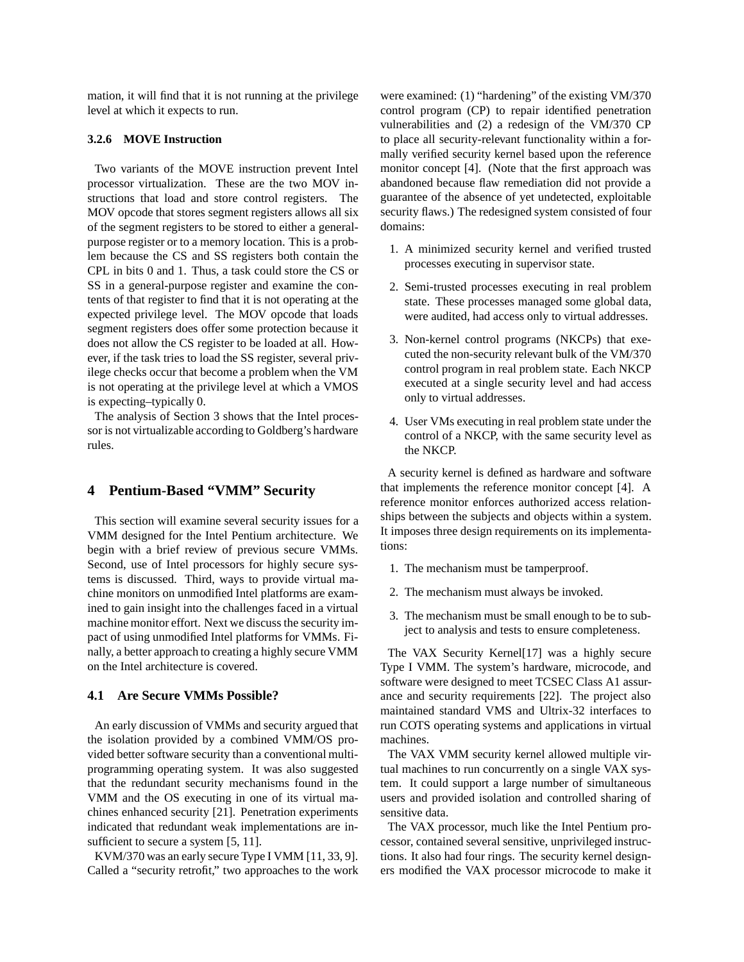mation, it will find that it is not running at the privilege level at which it expects to run.

#### **3.2.6 MOVE Instruction**

Two variants of the MOVE instruction prevent Intel processor virtualization. These are the two MOV instructions that load and store control registers. The MOV opcode that stores segment registers allows all six of the segment registers to be stored to either a generalpurpose register or to a memory location. This is a problem because the CS and SS registers both contain the CPL in bits 0 and 1. Thus, a task could store the CS or SS in a general-purpose register and examine the contents of that register to find that it is not operating at the expected privilege level. The MOV opcode that loads segment registers does offer some protection because it does not allow the CS register to be loaded at all. However, if the task tries to load the SS register, several privilege checks occur that become a problem when the VM is not operating at the privilege level at which a VMOS is expecting–typically 0.

The analysis of Section 3 shows that the Intel processor is not virtualizable according to Goldberg's hardware rules.

# **4 Pentium-Based "VMM" Security**

This section will examine several security issues for a VMM designed for the Intel Pentium architecture. We begin with a brief review of previous secure VMMs. Second, use of Intel processors for highly secure systems is discussed. Third, ways to provide virtual machine monitors on unmodified Intel platforms are examined to gain insight into the challenges faced in a virtual machine monitor effort. Next we discuss the security impact of using unmodified Intel platforms for VMMs. Finally, a better approach to creating a highly secure VMM on the Intel architecture is covered.

# **4.1 Are Secure VMMs Possible?**

An early discussion of VMMs and security argued that the isolation provided by a combined VMM/OS provided better software security than a conventional multiprogramming operating system. It was also suggested that the redundant security mechanisms found in the VMM and the OS executing in one of its virtual machines enhanced security [21]. Penetration experiments indicated that redundant weak implementations are insufficient to secure a system [5, 11].

KVM/370 was an early secure Type I VMM [11, 33, 9]. Called a "security retrofit," two approaches to the work were examined: (1) "hardening" of the existing VM/370 control program (CP) to repair identified penetration vulnerabilities and (2) a redesign of the VM/370 CP to place all security-relevant functionality within a formally verified security kernel based upon the reference monitor concept [4]. (Note that the first approach was abandoned because flaw remediation did not provide a guarantee of the absence of yet undetected, exploitable security flaws.) The redesigned system consisted of four domains:

- 1. A minimized security kernel and verified trusted processes executing in supervisor state.
- 2. Semi-trusted processes executing in real problem state. These processes managed some global data, were audited, had access only to virtual addresses.
- 3. Non-kernel control programs (NKCPs) that executed the non-security relevant bulk of the VM/370 control program in real problem state. Each NKCP executed at a single security level and had access only to virtual addresses.
- 4. User VMs executing in real problem state under the control of a NKCP, with the same security level as the NKCP.

A security kernel is defined as hardware and software that implements the reference monitor concept [4]. A reference monitor enforces authorized access relationships between the subjects and objects within a system. It imposes three design requirements on its implementations:

- 1. The mechanism must be tamperproof.
- 2. The mechanism must always be invoked.
- 3. The mechanism must be small enough to be to subject to analysis and tests to ensure completeness.

The VAX Security Kernel[17] was a highly secure Type I VMM. The system's hardware, microcode, and software were designed to meet TCSEC Class A1 assurance and security requirements [22]. The project also maintained standard VMS and Ultrix-32 interfaces to run COTS operating systems and applications in virtual machines.

The VAX VMM security kernel allowed multiple virtual machines to run concurrently on a single VAX system. It could support a large number of simultaneous users and provided isolation and controlled sharing of sensitive data.

The VAX processor, much like the Intel Pentium processor, contained several sensitive, unprivileged instructions. It also had four rings. The security kernel designers modified the VAX processor microcode to make it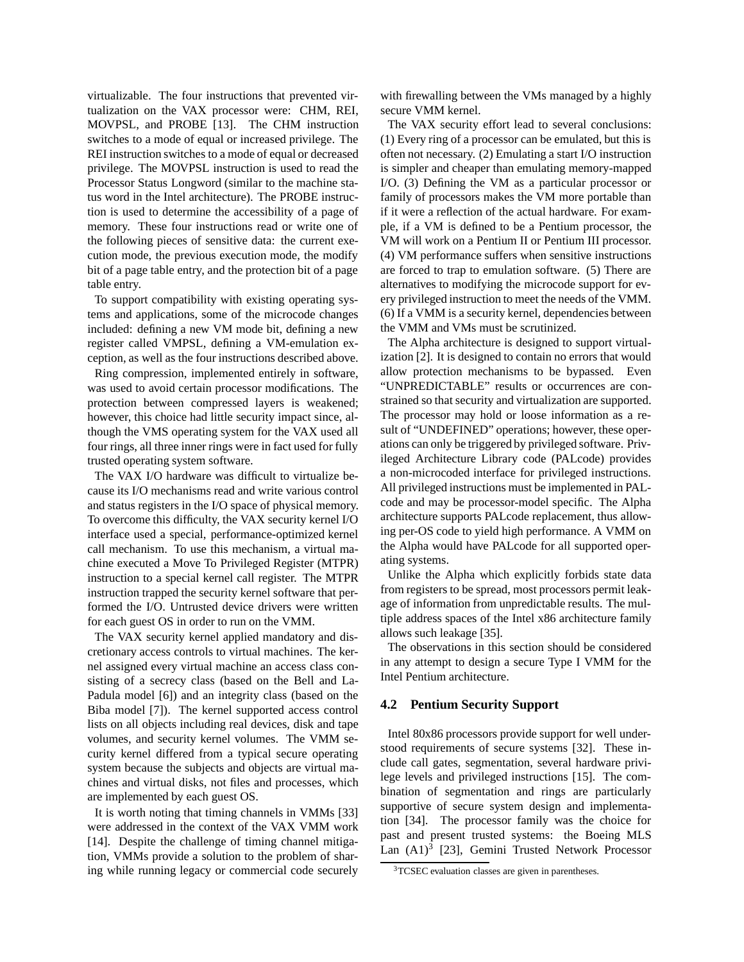virtualizable. The four instructions that prevented virtualization on the VAX processor were: CHM, REI, MOVPSL, and PROBE [13]. The CHM instruction switches to a mode of equal or increased privilege. The REI instruction switches to a mode of equal or decreased privilege. The MOVPSL instruction is used to read the Processor Status Longword (similar to the machine status word in the Intel architecture). The PROBE instruction is used to determine the accessibility of a page of memory. These four instructions read or write one of the following pieces of sensitive data: the current execution mode, the previous execution mode, the modify bit of a page table entry, and the protection bit of a page table entry.

To support compatibility with existing operating systems and applications, some of the microcode changes included: defining a new VM mode bit, defining a new register called VMPSL, defining a VM-emulation exception, as well as the four instructions described above.

Ring compression, implemented entirely in software, was used to avoid certain processor modifications. The protection between compressed layers is weakened; however, this choice had little security impact since, although the VMS operating system for the VAX used all four rings, all three inner rings were in fact used for fully trusted operating system software.

The VAX I/O hardware was difficult to virtualize because its I/O mechanisms read and write various control and status registers in the I/O space of physical memory. To overcome this difficulty, the VAX security kernel I/O interface used a special, performance-optimized kernel call mechanism. To use this mechanism, a virtual machine executed a Move To Privileged Register (MTPR) instruction to a special kernel call register. The MTPR instruction trapped the security kernel software that performed the I/O. Untrusted device drivers were written for each guest OS in order to run on the VMM.

The VAX security kernel applied mandatory and discretionary access controls to virtual machines. The kernel assigned every virtual machine an access class consisting of a secrecy class (based on the Bell and La-Padula model [6]) and an integrity class (based on the Biba model [7]). The kernel supported access control lists on all objects including real devices, disk and tape volumes, and security kernel volumes. The VMM security kernel differed from a typical secure operating system because the subjects and objects are virtual machines and virtual disks, not files and processes, which are implemented by each guest OS.

It is worth noting that timing channels in VMMs [33] were addressed in the context of the VAX VMM work [14]. Despite the challenge of timing channel mitigation, VMMs provide a solution to the problem of sharing while running legacy or commercial code securely

with firewalling between the VMs managed by a highly secure VMM kernel.

The VAX security effort lead to several conclusions: (1) Every ring of a processor can be emulated, but this is often not necessary. (2) Emulating a start I/O instruction is simpler and cheaper than emulating memory-mapped I/O. (3) Defining the VM as a particular processor or family of processors makes the VM more portable than if it were a reflection of the actual hardware. For example, if a VM is defined to be a Pentium processor, the VM will work on a Pentium II or Pentium III processor. (4) VM performance suffers when sensitive instructions are forced to trap to emulation software. (5) There are alternatives to modifying the microcode support for every privileged instruction to meet the needs of the VMM. (6) If a VMM is a security kernel, dependencies between the VMM and VMs must be scrutinized.

The Alpha architecture is designed to support virtualization [2]. It is designed to contain no errors that would allow protection mechanisms to be bypassed. Even "UNPREDICTABLE" results or occurrences are constrained so that security and virtualization are supported. The processor may hold or loose information as a result of "UNDEFINED" operations; however, these operations can only be triggered by privileged software. Privileged Architecture Library code (PALcode) provides a non-microcoded interface for privileged instructions. All privileged instructions must be implemented in PALcode and may be processor-model specific. The Alpha architecture supports PALcode replacement, thus allowing per-OS code to yield high performance. A VMM on the Alpha would have PALcode for all supported operating systems.

Unlike the Alpha which explicitly forbids state data from registers to be spread, most processors permit leakage of information from unpredictable results. The multiple address spaces of the Intel x86 architecture family allows such leakage [35].

The observations in this section should be considered in any attempt to design a secure Type I VMM for the Intel Pentium architecture.

#### **4.2 Pentium Security Support**

Intel 80x86 processors provide support for well understood requirements of secure systems [32]. These include call gates, segmentation, several hardware privilege levels and privileged instructions [15]. The combination of segmentation and rings are particularly supportive of secure system design and implementation [34]. The processor family was the choice for past and present trusted systems: the Boeing MLS Lan  $(A1)^3$  [23], Gemini Trusted Network Processor

<sup>3</sup>TCSEC evaluation classes are given in parentheses.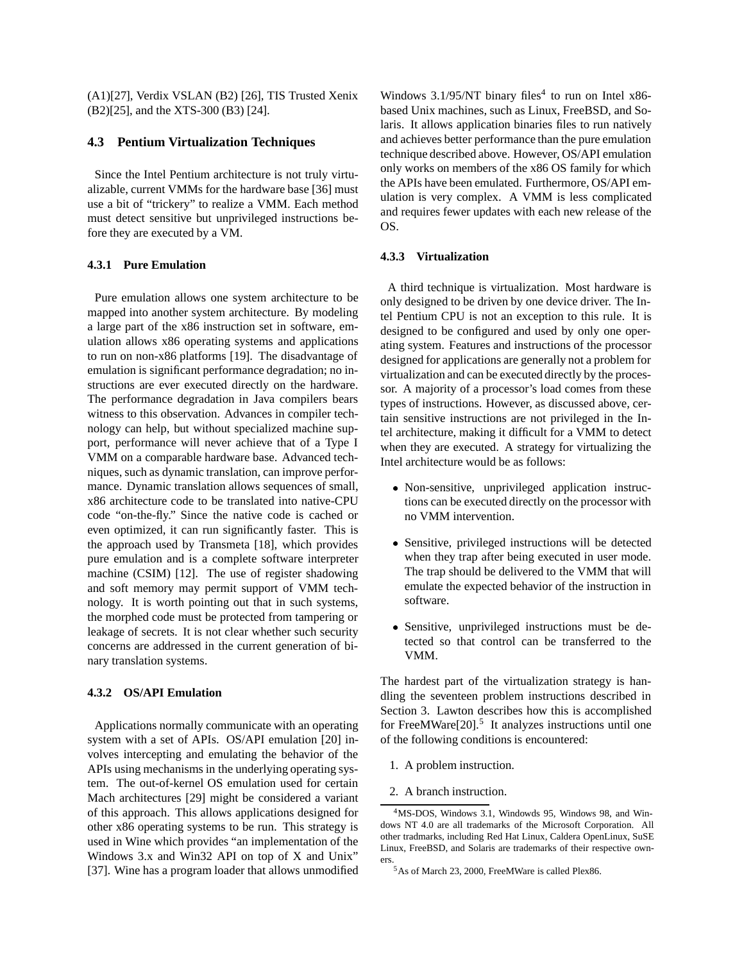(A1)[27], Verdix VSLAN (B2) [26], TIS Trusted Xenix (B2)[25], and the XTS-300 (B3) [24].

# **4.3 Pentium Virtualization Techniques**

Since the Intel Pentium architecture is not truly virtualizable, current VMMs for the hardware base [36] must use a bit of "trickery" to realize a VMM. Each method must detect sensitive but unprivileged instructions before they are executed by a VM.

#### **4.3.1 Pure Emulation**

Pure emulation allows one system architecture to be mapped into another system architecture. By modeling a large part of the x86 instruction set in software, emulation allows x86 operating systems and applications to run on non-x86 platforms [19]. The disadvantage of emulation is significant performance degradation; no instructions are ever executed directly on the hardware. The performance degradation in Java compilers bears witness to this observation. Advances in compiler technology can help, but without specialized machine support, performance will never achieve that of a Type I VMM on a comparable hardware base. Advanced techniques, such as dynamic translation, can improve performance. Dynamic translation allows sequences of small, x86 architecture code to be translated into native-CPU code "on-the-fly." Since the native code is cached or even optimized, it can run significantly faster. This is the approach used by Transmeta [18], which provides pure emulation and is a complete software interpreter machine (CSIM) [12]. The use of register shadowing and soft memory may permit support of VMM technology. It is worth pointing out that in such systems, the morphed code must be protected from tampering or leakage of secrets. It is not clear whether such security concerns are addressed in the current generation of binary translation systems.

#### **4.3.2 OS/API Emulation**

Applications normally communicate with an operating system with a set of APIs. OS/API emulation [20] involves intercepting and emulating the behavior of the APIs using mechanisms in the underlying operating system. The out-of-kernel OS emulation used for certain Mach architectures [29] might be considered a variant of this approach. This allows applications designed for other x86 operating systems to be run. This strategy is used in Wine which provides "an implementation of the Windows 3.x and Win32 API on top of X and Unix" [37]. Wine has a program loader that allows unmodified

Windows 3.1/95/NT binary files<sup>4</sup> to run on Intel  $x86$ based Unix machines, such as Linux, FreeBSD, and Solaris. It allows application binaries files to run natively and achieves better performance than the pure emulation technique described above. However, OS/API emulation only works on members of the x86 OS family for which the APIs have been emulated. Furthermore, OS/API emulation is very complex. A VMM is less complicated and requires fewer updates with each new release of the OS.

#### **4.3.3 Virtualization**

A third technique is virtualization. Most hardware is only designed to be driven by one device driver. The Intel Pentium CPU is not an exception to this rule. It is designed to be configured and used by only one operating system. Features and instructions of the processor designed for applications are generally not a problem for virtualization and can be executed directly by the processor. A majority of a processor's load comes from these types of instructions. However, as discussed above, certain sensitive instructions are not privileged in the Intel architecture, making it difficult for a VMM to detect when they are executed. A strategy for virtualizing the Intel architecture would be as follows:

- Non-sensitive, unprivileged application instructions can be executed directly on the processor with no VMM intervention.
- Sensitive, privileged instructions will be detected when they trap after being executed in user mode. The trap should be delivered to the VMM that will emulate the expected behavior of the instruction in software.
- Sensitive, unprivileged instructions must be detected so that control can be transferred to the VMM.

The hardest part of the virtualization strategy is handling the seventeen problem instructions described in Section 3. Lawton describes how this is accomplished for FreeMWare $[20]$ .<sup>5</sup> It analyzes instructions until one of the following conditions is encountered:

- 1. A problem instruction.
- 2. A branch instruction.

<sup>4</sup>MS-DOS, Windows 3.1, Windowds 95, Windows 98, and Windows NT 4.0 are all trademarks of the Microsoft Corporation. All other tradmarks, including Red Hat Linux, Caldera OpenLinux, SuSE Linux, FreeBSD, and Solaris are trademarks of their respective owners.<br><sup>5</sup>As of March 23, 2000, FreeMWare is called Plex86.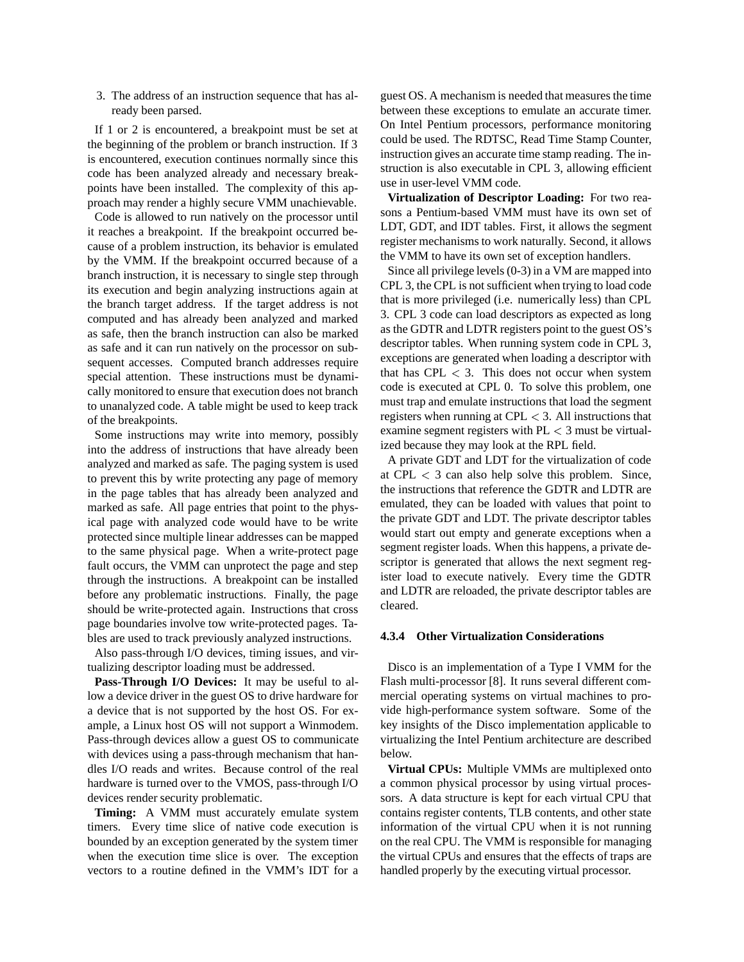3. The address of an instruction sequence that has already been parsed.

If 1 or 2 is encountered, a breakpoint must be set at the beginning of the problem or branch instruction. If 3 is encountered, execution continues normally since this code has been analyzed already and necessary breakpoints have been installed. The complexity of this approach may render a highly secure VMM unachievable.

Code is allowed to run natively on the processor until it reaches a breakpoint. If the breakpoint occurred because of a problem instruction, its behavior is emulated by the VMM. If the breakpoint occurred because of a branch instruction, it is necessary to single step through its execution and begin analyzing instructions again at the branch target address. If the target address is not computed and has already been analyzed and marked as safe, then the branch instruction can also be marked as safe and it can run natively on the processor on subsequent accesses. Computed branch addresses require special attention. These instructions must be dynamically monitored to ensure that execution does not branch to unanalyzed code. A table might be used to keep track of the breakpoints.

Some instructions may write into memory, possibly into the address of instructions that have already been analyzed and marked as safe. The paging system is used to prevent this by write protecting any page of memory in the page tables that has already been analyzed and marked as safe. All page entries that point to the physical page with analyzed code would have to be write protected since multiple linear addresses can be mapped to the same physical page. When a write-protect page fault occurs, the VMM can unprotect the page and step through the instructions. A breakpoint can be installed before any problematic instructions. Finally, the page should be write-protected again. Instructions that cross page boundaries involve tow write-protected pages. Tables are used to track previously analyzed instructions.

Also pass-through I/O devices, timing issues, and virtualizing descriptor loading must be addressed.

**Pass-Through I/O Devices:** It may be useful to allow a device driver in the guest OS to drive hardware for a device that is not supported by the host OS. For example, a Linux host OS will not support a Winmodem. Pass-through devices allow a guest OS to communicate with devices using a pass-through mechanism that handles I/O reads and writes. Because control of the real hardware is turned over to the VMOS, pass-through I/O devices render security problematic.

**Timing:** A VMM must accurately emulate system timers. Every time slice of native code execution is bounded by an exception generated by the system timer when the execution time slice is over. The exception vectors to a routine defined in the VMM's IDT for a guest OS. A mechanism is needed that measures the time between these exceptions to emulate an accurate timer. On Intel Pentium processors, performance monitoring could be used. The RDTSC, Read Time Stamp Counter, instruction gives an accurate time stamp reading. The instruction is also executable in CPL 3, allowing efficient use in user-level VMM code.

**Virtualization of Descriptor Loading:** For two reasons a Pentium-based VMM must have its own set of LDT, GDT, and IDT tables. First, it allows the segment register mechanisms to work naturally. Second, it allows the VMM to have its own set of exception handlers.

Since all privilege levels (0-3) in a VM are mapped into CPL 3, the CPL is not sufficient when trying to load code that is more privileged (i.e. numerically less) than CPL 3. CPL 3 code can load descriptors as expected as long as the GDTR and LDTR registers point to the guest OS's descriptor tables. When running system code in CPL 3, exceptions are generated when loading a descriptor with that has CPL  $<$  3. This does not occur when system code is executed at CPL 0. To solve this problem, one must trap and emulate instructions that load the segment registers when running at CPL  $<$  3. All instructions that examine segment registers with  $PL < 3$  must be virtualized because they may look at the RPL field.

A private GDT and LDT for the virtualization of code at CPL  $<$  3 can also help solve this problem. Since, the instructions that reference the GDTR and LDTR are emulated, they can be loaded with values that point to the private GDT and LDT. The private descriptor tables would start out empty and generate exceptions when a segment register loads. When this happens, a private descriptor is generated that allows the next segment register load to execute natively. Every time the GDTR and LDTR are reloaded, the private descriptor tables are cleared.

#### **4.3.4 Other Virtualization Considerations**

Disco is an implementation of a Type I VMM for the Flash multi-processor [8]. It runs several different commercial operating systems on virtual machines to provide high-performance system software. Some of the key insights of the Disco implementation applicable to virtualizing the Intel Pentium architecture are described below.

**Virtual CPUs:** Multiple VMMs are multiplexed onto a common physical processor by using virtual processors. A data structure is kept for each virtual CPU that contains register contents, TLB contents, and other state information of the virtual CPU when it is not running on the real CPU. The VMM is responsible for managing the virtual CPUs and ensures that the effects of traps are handled properly by the executing virtual processor.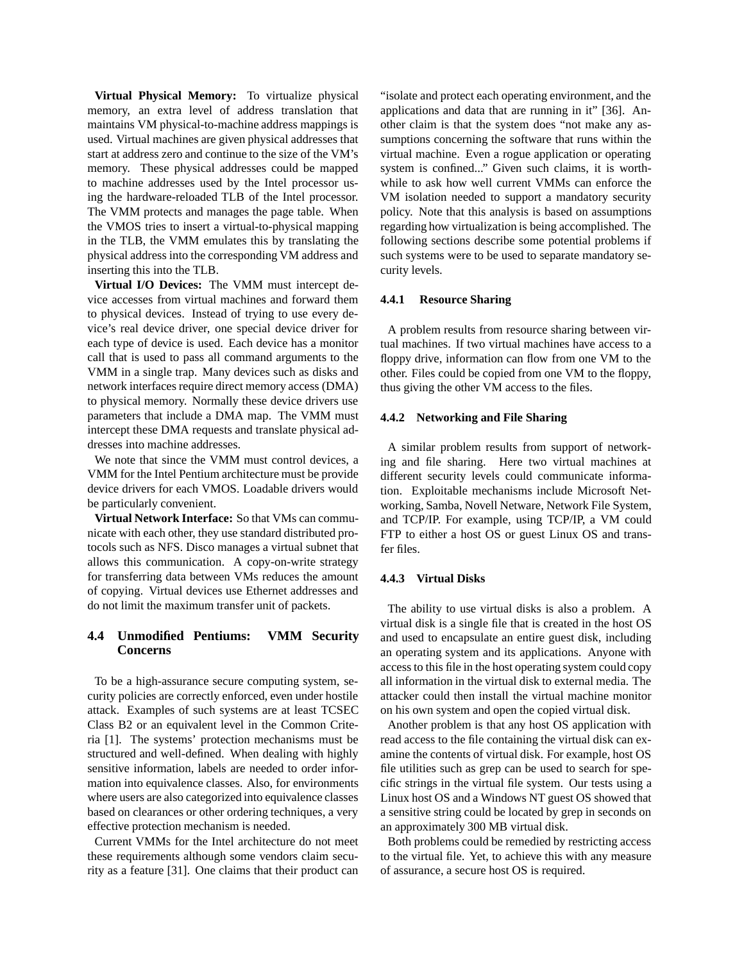**Virtual Physical Memory:** To virtualize physical memory, an extra level of address translation that maintains VM physical-to-machine address mappings is used. Virtual machines are given physical addresses that start at address zero and continue to the size of the VM's memory. These physical addresses could be mapped to machine addresses used by the Intel processor using the hardware-reloaded TLB of the Intel processor. The VMM protects and manages the page table. When the VMOS tries to insert a virtual-to-physical mapping in the TLB, the VMM emulates this by translating the physical address into the corresponding VM address and inserting this into the TLB.

**Virtual I/O Devices:** The VMM must intercept device accesses from virtual machines and forward them to physical devices. Instead of trying to use every device's real device driver, one special device driver for each type of device is used. Each device has a monitor call that is used to pass all command arguments to the VMM in a single trap. Many devices such as disks and network interfaces require direct memory access (DMA) to physical memory. Normally these device drivers use parameters that include a DMA map. The VMM must intercept these DMA requests and translate physical addresses into machine addresses.

We note that since the VMM must control devices, a VMM for the Intel Pentium architecture must be provide device drivers for each VMOS. Loadable drivers would be particularly convenient.

**Virtual Network Interface:** So that VMs can communicate with each other, they use standard distributed protocols such as NFS. Disco manages a virtual subnet that allows this communication. A copy-on-write strategy for transferring data between VMs reduces the amount of copying. Virtual devices use Ethernet addresses and do not limit the maximum transfer unit of packets.

# **4.4 Unmodified Pentiums: VMM Security Concerns**

To be a high-assurance secure computing system, security policies are correctly enforced, even under hostile attack. Examples of such systems are at least TCSEC Class B2 or an equivalent level in the Common Criteria [1]. The systems' protection mechanisms must be structured and well-defined. When dealing with highly sensitive information, labels are needed to order information into equivalence classes. Also, for environments where users are also categorized into equivalence classes based on clearances or other ordering techniques, a very effective protection mechanism is needed.

Current VMMs for the Intel architecture do not meet these requirements although some vendors claim security as a feature [31]. One claims that their product can "isolate and protect each operating environment, and the applications and data that are running in it" [36]. Another claim is that the system does "not make any assumptions concerning the software that runs within the virtual machine. Even a rogue application or operating system is confined..." Given such claims, it is worthwhile to ask how well current VMMs can enforce the VM isolation needed to support a mandatory security policy. Note that this analysis is based on assumptions regarding how virtualization is being accomplished. The following sections describe some potential problems if such systems were to be used to separate mandatory security levels.

#### **4.4.1 Resource Sharing**

A problem results from resource sharing between virtual machines. If two virtual machines have access to a floppy drive, information can flow from one VM to the other. Files could be copied from one VM to the floppy, thus giving the other VM access to the files.

#### **4.4.2 Networking and File Sharing**

A similar problem results from support of networking and file sharing. Here two virtual machines at different security levels could communicate information. Exploitable mechanisms include Microsoft Networking, Samba, Novell Netware, Network File System, and TCP/IP. For example, using TCP/IP, a VM could FTP to either a host OS or guest Linux OS and transfer files.

#### **4.4.3 Virtual Disks**

The ability to use virtual disks is also a problem. A virtual disk is a single file that is created in the host OS and used to encapsulate an entire guest disk, including an operating system and its applications. Anyone with access to this file in the host operating system could copy all information in the virtual disk to external media. The attacker could then install the virtual machine monitor on his own system and open the copied virtual disk.

Another problem is that any host OS application with read access to the file containing the virtual disk can examine the contents of virtual disk. For example, host OS file utilities such as grep can be used to search for specific strings in the virtual file system. Our tests using a Linux host OS and a Windows NT guest OS showed that a sensitive string could be located by grep in seconds on an approximately 300 MB virtual disk.

Both problems could be remedied by restricting access to the virtual file. Yet, to achieve this with any measure of assurance, a secure host OS is required.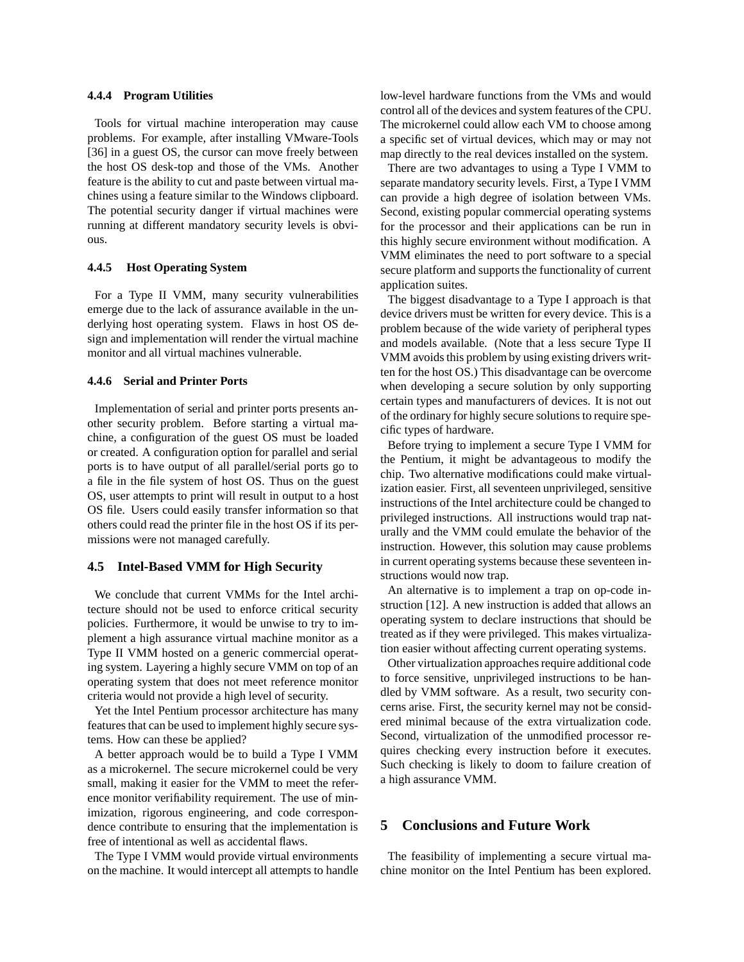#### **4.4.4 Program Utilities**

Tools for virtual machine interoperation may cause problems. For example, after installing VMware-Tools [36] in a guest OS, the cursor can move freely between the host OS desk-top and those of the VMs. Another feature is the ability to cut and paste between virtual machines using a feature similar to the Windows clipboard. The potential security danger if virtual machines were running at different mandatory security levels is obvious.

#### **4.4.5 Host Operating System**

For a Type II VMM, many security vulnerabilities emerge due to the lack of assurance available in the underlying host operating system. Flaws in host OS design and implementation will render the virtual machine monitor and all virtual machines vulnerable.

# **4.4.6 Serial and Printer Ports**

Implementation of serial and printer ports presents another security problem. Before starting a virtual machine, a configuration of the guest OS must be loaded or created. A configuration option for parallel and serial ports is to have output of all parallel/serial ports go to a file in the file system of host OS. Thus on the guest OS, user attempts to print will result in output to a host OS file. Users could easily transfer information so that others could read the printer file in the host OS if its permissions were not managed carefully.

## **4.5 Intel-Based VMM for High Security**

We conclude that current VMMs for the Intel architecture should not be used to enforce critical security policies. Furthermore, it would be unwise to try to implement a high assurance virtual machine monitor as a Type II VMM hosted on a generic commercial operating system. Layering a highly secure VMM on top of an operating system that does not meet reference monitor criteria would not provide a high level of security.

Yet the Intel Pentium processor architecture has many features that can be used to implement highly secure systems. How can these be applied?

A better approach would be to build a Type I VMM as a microkernel. The secure microkernel could be very small, making it easier for the VMM to meet the reference monitor verifiability requirement. The use of minimization, rigorous engineering, and code correspondence contribute to ensuring that the implementation is free of intentional as well as accidental flaws.

The Type I VMM would provide virtual environments on the machine. It would intercept all attempts to handle low-level hardware functions from the VMs and would control all of the devices and system features of the CPU. The microkernel could allow each VM to choose among a specific set of virtual devices, which may or may not map directly to the real devices installed on the system.

There are two advantages to using a Type I VMM to separate mandatory security levels. First, a Type I VMM can provide a high degree of isolation between VMs. Second, existing popular commercial operating systems for the processor and their applications can be run in this highly secure environment without modification. A VMM eliminates the need to port software to a special secure platform and supports the functionality of current application suites.

The biggest disadvantage to a Type I approach is that device drivers must be written for every device. This is a problem because of the wide variety of peripheral types and models available. (Note that a less secure Type II VMM avoids this problem by using existing drivers written for the host OS.) This disadvantage can be overcome when developing a secure solution by only supporting certain types and manufacturers of devices. It is not out of the ordinary for highly secure solutions to require specific types of hardware.

Before trying to implement a secure Type I VMM for the Pentium, it might be advantageous to modify the chip. Two alternative modifications could make virtualization easier. First, all seventeen unprivileged, sensitive instructions of the Intel architecture could be changed to privileged instructions. All instructions would trap naturally and the VMM could emulate the behavior of the instruction. However, this solution may cause problems in current operating systems because these seventeen instructions would now trap.

An alternative is to implement a trap on op-code instruction [12]. A new instruction is added that allows an operating system to declare instructions that should be treated as if they were privileged. This makes virtualization easier without affecting current operating systems.

Other virtualization approaches require additional code to force sensitive, unprivileged instructions to be handled by VMM software. As a result, two security concerns arise. First, the security kernel may not be considered minimal because of the extra virtualization code. Second, virtualization of the unmodified processor requires checking every instruction before it executes. Such checking is likely to doom to failure creation of a high assurance VMM.

# **5 Conclusions and Future Work**

The feasibility of implementing a secure virtual machine monitor on the Intel Pentium has been explored.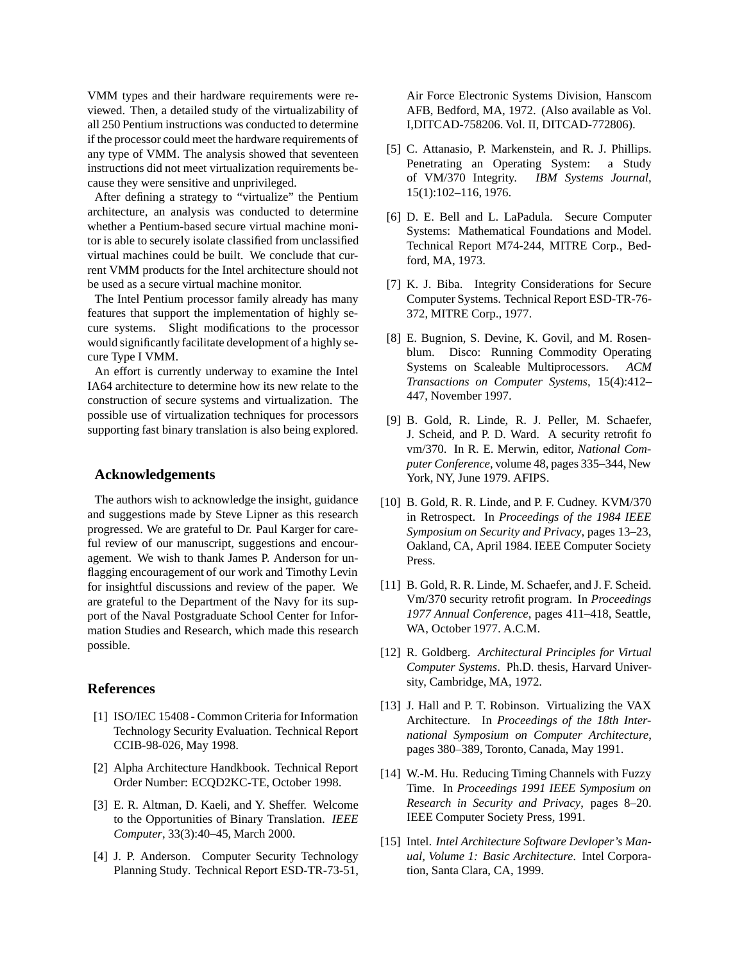VMM types and their hardware requirements were reviewed. Then, a detailed study of the virtualizability of all 250 Pentium instructions was conducted to determine if the processor could meet the hardware requirements of any type of VMM. The analysis showed that seventeen instructions did not meet virtualization requirements because they were sensitive and unprivileged.

After defining a strategy to "virtualize" the Pentium architecture, an analysis was conducted to determine whether a Pentium-based secure virtual machine monitor is able to securely isolate classified from unclassified virtual machines could be built. We conclude that current VMM products for the Intel architecture should not be used as a secure virtual machine monitor.

The Intel Pentium processor family already has many features that support the implementation of highly secure systems. Slight modifications to the processor would significantly facilitate development of a highly secure Type I VMM.

An effort is currently underway to examine the Intel IA64 architecture to determine how its new relate to the construction of secure systems and virtualization. The possible use of virtualization techniques for processors supporting fast binary translation is also being explored.

### **Acknowledgements**

The authors wish to acknowledge the insight, guidance and suggestions made by Steve Lipner as this research progressed. We are grateful to Dr. Paul Karger for careful review of our manuscript, suggestions and encouragement. We wish to thank James P. Anderson for unflagging encouragement of our work and Timothy Levin for insightful discussions and review of the paper. We are grateful to the Department of the Navy for its support of the Naval Postgraduate School Center for Information Studies and Research, which made this research possible.

# **References**

- [1] ISO/IEC 15408 Common Criteria for Information Technology Security Evaluation. Technical Report CCIB-98-026, May 1998.
- [2] Alpha Architecture Handkbook. Technical Report Order Number: ECQD2KC-TE, October 1998.
- [3] E. R. Altman, D. Kaeli, and Y. Sheffer. Welcome to the Opportunities of Binary Translation. *IEEE Computer*, 33(3):40–45, March 2000.
- [4] J. P. Anderson. Computer Security Technology Planning Study. Technical Report ESD-TR-73-51,

Air Force Electronic Systems Division, Hanscom AFB, Bedford, MA, 1972. (Also available as Vol. I,DITCAD-758206. Vol. II, DITCAD-772806).

- [5] C. Attanasio, P. Markenstein, and R. J. Phillips. Penetrating an Operating System: a Study of VM/370 Integrity. *IBM Systems Journal*, 15(1):102–116, 1976.
- [6] D. E. Bell and L. LaPadula. Secure Computer Systems: Mathematical Foundations and Model. Technical Report M74-244, MITRE Corp., Bedford, MA, 1973.
- [7] K. J. Biba. Integrity Considerations for Secure Computer Systems. Technical Report ESD-TR-76- 372, MITRE Corp., 1977.
- [8] E. Bugnion, S. Devine, K. Govil, and M. Rosenblum. Disco: Running Commodity Operating Systems on Scaleable Multiprocessors. *ACM Transactions on Computer Systems*, 15(4):412– 447, November 1997.
- [9] B. Gold, R. Linde, R. J. Peller, M. Schaefer, J. Scheid, and P. D. Ward. A security retrofit fo vm/370. In R. E. Merwin, editor, *National Computer Conference*, volume 48, pages 335–344, New York, NY, June 1979. AFIPS.
- [10] B. Gold, R. R. Linde, and P. F. Cudney. KVM/370 in Retrospect. In *Proceedings of the 1984 IEEE Symposium on Security and Privacy*, pages 13–23, Oakland, CA, April 1984. IEEE Computer Society Press.
- [11] B. Gold, R. R. Linde, M. Schaefer, and J. F. Scheid. Vm/370 security retrofit program. In *Proceedings 1977 Annual Conference*, pages 411–418, Seattle, WA, October 1977. A.C.M.
- [12] R. Goldberg. *Architectural Principles for Virtual Computer Systems*. Ph.D. thesis, Harvard University, Cambridge, MA, 1972.
- [13] J. Hall and P. T. Robinson. Virtualizing the VAX Architecture. In *Proceedings of the 18th International Symposium on Computer Architecture*, pages 380–389, Toronto, Canada, May 1991.
- [14] W.-M. Hu. Reducing Timing Channels with Fuzzy Time. In *Proceedings 1991 IEEE Symposium on Research in Security and Privacy*, pages 8–20. IEEE Computer Society Press, 1991.
- [15] Intel. *Intel Architecture Software Devloper's Manual, Volume 1: Basic Architecture*. Intel Corporation, Santa Clara, CA, 1999.